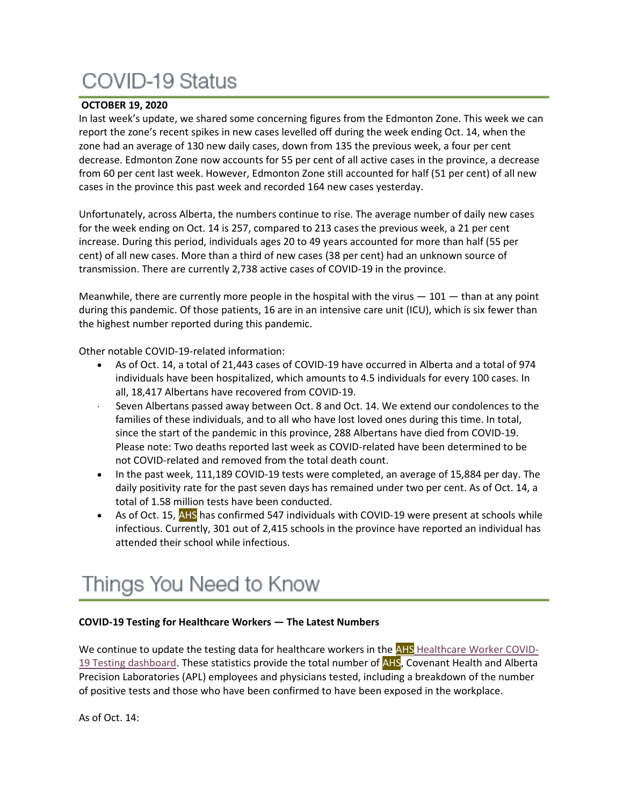# **COVID-19 Status**

# **OCTOBER 19, 2020**

In last week's update, we shared some concerning figures from the Edmonton Zone. This week we can report the zone's recent spikes in new cases levelled off during the week ending Oct. 14, when the zone had an average of 130 new daily cases, down from 135 the previous week, a four per cent decrease. Edmonton Zone now accounts for 55 per cent of all active cases in the province, a decrease from 60 per cent last week. However, Edmonton Zone still accounted for half (51 per cent) of all new cases in the province this past week and recorded 164 new cases yesterday.

Unfortunately, across Alberta, the numbers continue to rise. The average number of daily new cases for the week ending on Oct. 14 is 257, compared to 213 cases the previous week, a 21 per cent increase. During this period, individuals ages 20 to 49 years accounted for more than half (55 per cent) of all new cases. More than a third of new cases (38 per cent) had an unknown source of transmission. There are currently 2,738 active cases of COVID-19 in the province.

Meanwhile, there are currently more people in the hospital with the virus  $-101$  - than at any point during this pandemic. Of those patients, 16 are in an intensive care unit (ICU), which is six fewer than the highest number reported during this pandemic.

Other notable COVID-19-related information:

- As of Oct. 14, a total of 21,443 cases of COVID-19 have occurred in Alberta and a total of 974 individuals have been hospitalized, which amounts to 4.5 individuals for every 100 cases. In all, 18,417 Albertans have recovered from COVID-19.
- Seven Albertans passed away between Oct. 8 and Oct. 14. We extend our condolences to the families of these individuals, and to all who have lost loved ones during this time. In total, since the start of the pandemic in this province, 288 Albertans have died from COVID-19. Please note: Two deaths reported last week as COVID-related have been determined to be not COVID-related and removed from the total death count.
- In the past week, 111,189 COVID-19 tests were completed, an average of 15,884 per day. The daily positivity rate for the past seven days has remained under two per cent. As of Oct. 14, a total of 1.58 million tests have been conducted.
- As of Oct. 15, AHS has confirmed 547 individuals with COVID-19 were present at schools while infectious. Currently, 301 out of 2,415 schools in the province have reported an individual has attended their school while infectious.

# Things You Need to Know

### **COVID-19 Testing for Healthcare Workers — The Latest Numbers**

We continue to update the testing data for healthcare workers in the AHS [Healthcare](https://tableau.albertahealthservices.ca/#/views/AHSEmployeePhysicianCOVID-19TestSurveillanceDashboard/Introduction?:iid=1) Worker COVID19 Testing [dashboard.](https://tableau.albertahealthservices.ca/#/views/AHSEmployeePhysicianCOVID-19TestSurveillanceDashboard/Introduction?:iid=1) These statistics provide the total number of **AHS**, Covenant Health and Alberta Precision Laboratories (APL) employees and physicians tested, including a breakdown of the number of positive tests and those who have been confirmed to have been exposed in the workplace.

As of Oct. 14: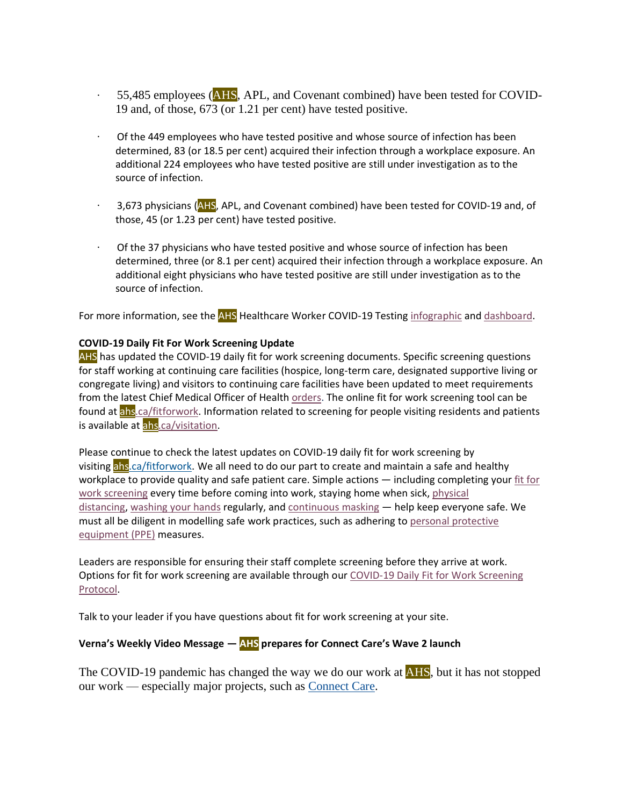- · 55,485 employees (AHS, APL, and Covenant combined) have been tested for COVID-19 and, of those, 673 (or 1.21 per cent) have tested positive.
- · Of the 449 employees who have tested positive and whose source of infection has been determined, 83 (or 18.5 per cent) acquired their infection through a workplace exposure. An additional 224 employees who have tested positive are still under investigation as to the source of infection.
- 3,673 physicians (AHS, APL, and Covenant combined) have been tested for COVID-19 and, of those, 45 (or 1.23 per cent) have tested positive.
- Of the 37 physicians who have tested positive and whose source of infection has been determined, three (or 8.1 per cent) acquired their infection through a workplace exposure. An additional eight physicians who have tested positive are still under investigation as to the source of infection.

For more information, see the AHS Healthcare Worker COVID-19 Testing [infographic](https://insite.albertahealthservices.ca/main/assets/tls/ep/tls-ep-covid-19-healthcare-worker-testing-infographic.pdf) and [dashboard.](https://tableau.albertahealthservices.ca/#/views/AHSEmployeePhysicianCOVID-19TestSurveillanceDashboard/Introduction?:iid=1)

### **COVID-19 Daily Fit For Work Screening Update**

AHS has updated the COVID-19 daily fit for work screening documents. Specific screening questions for staff working at continuing care facilities (hospice, long-term care, designated supportive living or congregate living) and visitors to continuing care facilities have been updated to meet requirements from the latest Chief Medical Officer of Health [orders.](https://www.alberta.ca/covid-19-orders-and-legislation.aspx) The online fit for work screening tool can be found at [ahs.ca/fitforwork.](https://www.albertahealthservices.ca/topics/Page17076.aspx) Information related to screening for people visiting residents and patients is available at [ahs.ca/visitation.](http://www.ahs.ca/visitation)

Please continue to check the latest updates on COVID-19 daily fit for work screening by visiting ahs ca/fitforwork. We all need to do our part to create and maintain a safe and healthy workplace to provide quality and safe patient care. Simple actions — including completing your fit [for](https://www.albertahealthservices.ca/topics/Page17076.aspx) work [screening](https://www.albertahealthservices.ca/topics/Page17076.aspx) every time before coming into work, staying home when sick, [physical](https://www.albertahealthservices.ca/topics/Page16997.aspx#social) [distancing,](https://www.albertahealthservices.ca/topics/Page16997.aspx#social) [washing](https://insite.albertahealthservices.ca/tools/hh/Page9900.aspx) your hands regularly, and [continuous](https://insite.albertahealthservices.ca/tools/Page24798.aspx) masking — help keep everyone safe. We must all be diligent in modelling safe work practices, such as adhering to personal [protective](https://www.albertahealthservices.ca/topics/Page17048.aspx) [equipment](https://www.albertahealthservices.ca/topics/Page17048.aspx) (PPE) measures.

Leaders are responsible for ensuring their staff complete screening before they arrive at work. Options for fit for work screening are available through our COVID-19 Daily Fit for Work [Screening](https://www.albertahealthservices.ca/assets/info/ppih/if-ppih-covid-19-daily-fitness-for-work-screening-protocols.pdf) [Protocol.](https://www.albertahealthservices.ca/assets/info/ppih/if-ppih-covid-19-daily-fitness-for-work-screening-protocols.pdf)

Talk to your leader if you have questions about fit for work screening at your site.

# **Verna's Weekly Video Message — AHS prepares for Connect Care's Wave 2 launch**

The COVID-19 pandemic has changed the way we do our work at **AHS**, but it has not stopped our work — especially major projects, such as [Connect](https://insite.albertahealthservices.ca/cis/Page12170.aspx) Care.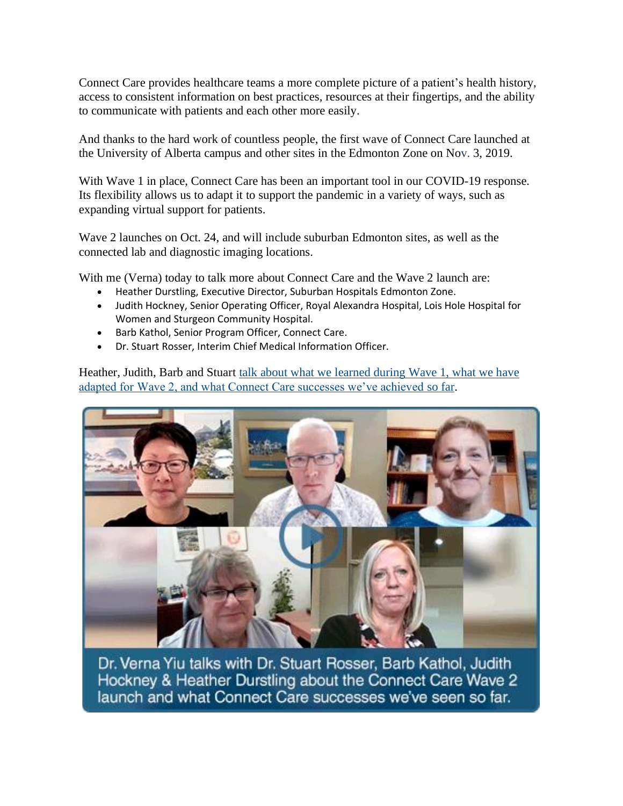Connect Care provides healthcare teams a more complete picture of a patient's health history, access to consistent information on best practices, resources at their fingertips, and the ability to communicate with patients and each other more easily.

And thanks to the hard work of countless people, the first wave of Connect Care launched at the University of Alberta campus and other sites in the Edmonton Zone on Nov. 3, 2019.

With Wave 1 in place, Connect Care has been an important tool in our COVID-19 response. Its flexibility allows us to adapt it to support the pandemic in a variety of ways, such as expanding virtual support for patients.

Wave 2 launches on Oct. 24, and will include suburban Edmonton sites, as well as the connected lab and diagnostic imaging locations.

With me (Verna) today to talk more about Connect Care and the Wave 2 launch are:

- Heather Durstling, Executive Director, Suburban Hospitals Edmonton Zone.
- Judith Hockney, Senior Operating Officer, Royal Alexandra Hospital, Lois Hole Hospital for Women and Sturgeon Community Hospital.
- Barb Kathol, Senior Program Officer, Connect Care.
- Dr. Stuart Rosser, Interim Chief Medical Information Officer.

Heather, Judith, Barb and Stuart [talk about what we learned during Wave 1, what we have](https://www.albertahealthservices.ca/Blogs/ceo/294.aspx#.X4m5nmhKiUk)  [adapted for Wave 2, and what Connect Care successes we've achieved](https://www.albertahealthservices.ca/Blogs/ceo/294.aspx#.X4m5nmhKiUk) so far.



Dr. Verna Yiu talks with Dr. Stuart Rosser, Barb Kathol, Judith Hockney & Heather Durstling about the Connect Care Wave 2 launch and what Connect Care successes we've seen so far.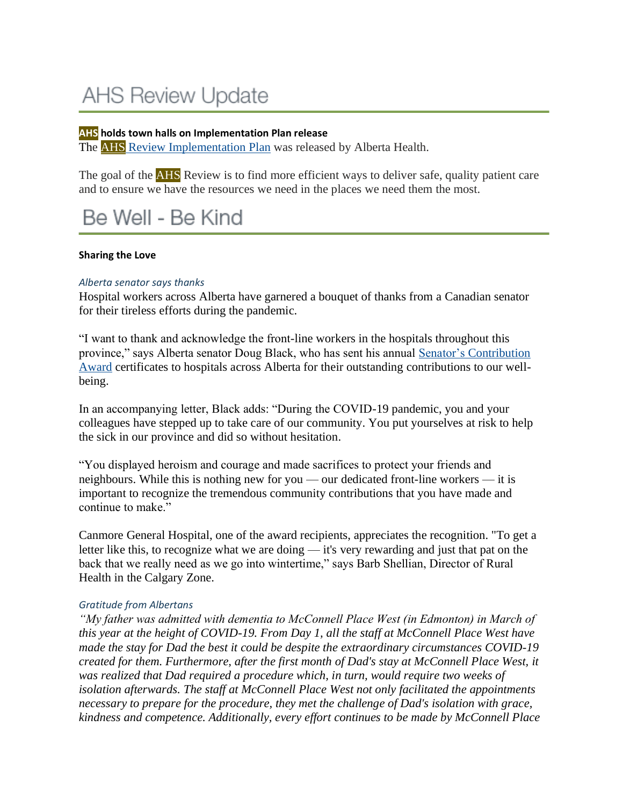# **AHS Review Update**

### **AHS holds town halls on Implementation Plan release**

The AHS Review [Implementation](https://www.albertahealthservices.ca/about/Page13816.aspx) Plan was released by Alberta Health.

The goal of the **AHS** Review is to find more efficient ways to deliver safe, quality patient care and to ensure we have the resources we need in the places we need them the most.

# Be Well - Be Kind

#### **Sharing the Love**

#### *Alberta senator says thanks*

Hospital workers across Alberta have garnered a bouquet of thanks from a Canadian senator for their tireless efforts during the pandemic.

"I want to thank and acknowledge the front-line workers in the hospitals throughout this province," says Alberta senator Doug Black, who has sent his annual Senator's [Contribution](https://www.facebook.com/SenatorDougBlack/videos/3172230959559987/?t=5) [Award](https://www.facebook.com/SenatorDougBlack/videos/3172230959559987/?t=5) certificates to hospitals across Alberta for their outstanding contributions to our wellbeing.

In an accompanying letter, Black adds: "During the COVID-19 pandemic, you and your colleagues have stepped up to take care of our community. You put yourselves at risk to help the sick in our province and did so without hesitation.

"You displayed heroism and courage and made sacrifices to protect your friends and neighbours. While this is nothing new for you — our dedicated front-line workers — it is important to recognize the tremendous community contributions that you have made and continue to make."

Canmore General Hospital, one of the award recipients, appreciates the recognition. "To get a letter like this, to recognize what we are doing — it's very rewarding and just that pat on the back that we really need as we go into wintertime," says Barb Shellian, Director of Rural Health in the Calgary Zone.

#### *Gratitude from Albertans*

*"My father was admitted with dementia to McConnell Place West (in Edmonton) in March of this year at the height of COVID-19. From Day 1, all the staff at McConnell Place West have made the stay for Dad the best it could be despite the extraordinary circumstances COVID-19 created for them. Furthermore, after the first month of Dad's stay at McConnell Place West, it was realized that Dad required a procedure which, in turn, would require two weeks of isolation afterwards. The staff at McConnell Place West not only facilitated the appointments necessary to prepare for the procedure, they met the challenge of Dad's isolation with grace, kindness and competence. Additionally, every effort continues to be made by McConnell Place*